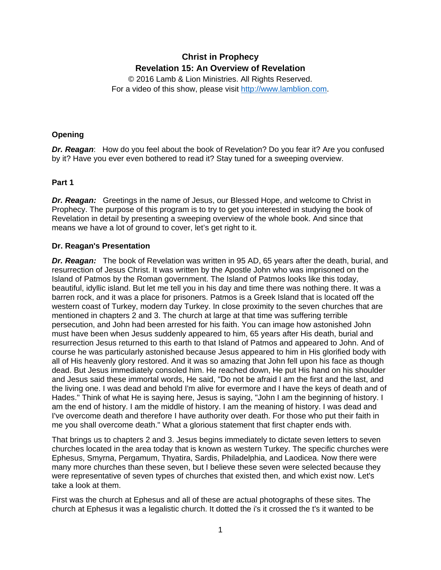# **Christ in Prophecy Revelation 15: An Overview of Revelation**

© 2016 Lamb & Lion Ministries. All Rights Reserved. For a video of this show, please visit [http://www.lamblion.com.](http://www.lamblion.com/)

### **Opening**

*Dr. Reagan*: How do you feel about the book of Revelation? Do you fear it? Are you confused by it? Have you ever even bothered to read it? Stay tuned for a sweeping overview.

## **Part 1**

**Dr. Reagan:** Greetings in the name of Jesus, our Blessed Hope, and welcome to Christ in Prophecy. The purpose of this program is to try to get you interested in studying the book of Revelation in detail by presenting a sweeping overview of the whole book. And since that means we have a lot of ground to cover, let's get right to it.

## **Dr. Reagan's Presentation**

*Dr. Reagan:* The book of Revelation was written in 95 AD, 65 years after the death, burial, and resurrection of Jesus Christ. It was written by the Apostle John who was imprisoned on the Island of Patmos by the Roman government. The Island of Patmos looks like this today, beautiful, idyllic island. But let me tell you in his day and time there was nothing there. It was a barren rock, and it was a place for prisoners. Patmos is a Greek Island that is located off the western coast of Turkey, modern day Turkey. In close proximity to the seven churches that are mentioned in chapters 2 and 3. The church at large at that time was suffering terrible persecution, and John had been arrested for his faith. You can image how astonished John must have been when Jesus suddenly appeared to him, 65 years after His death, burial and resurrection Jesus returned to this earth to that Island of Patmos and appeared to John. And of course he was particularly astonished because Jesus appeared to him in His glorified body with all of His heavenly glory restored. And it was so amazing that John fell upon his face as though dead. But Jesus immediately consoled him. He reached down, He put His hand on his shoulder and Jesus said these immortal words, He said, "Do not be afraid I am the first and the last, and the living one. I was dead and behold I'm alive for evermore and I have the keys of death and of Hades." Think of what He is saying here, Jesus is saying, "John I am the beginning of history. I am the end of history. I am the middle of history. I am the meaning of history. I was dead and I've overcome death and therefore I have authority over death. For those who put their faith in me you shall overcome death." What a glorious statement that first chapter ends with.

That brings us to chapters 2 and 3. Jesus begins immediately to dictate seven letters to seven churches located in the area today that is known as western Turkey. The specific churches were Ephesus, Smyrna, Pergamum, Thyatira, Sardis, Philadelphia, and Laodicea. Now there were many more churches than these seven, but I believe these seven were selected because they were representative of seven types of churches that existed then, and which exist now. Let's take a look at them.

First was the church at Ephesus and all of these are actual photographs of these sites. The church at Ephesus it was a legalistic church. It dotted the i's it crossed the t's it wanted to be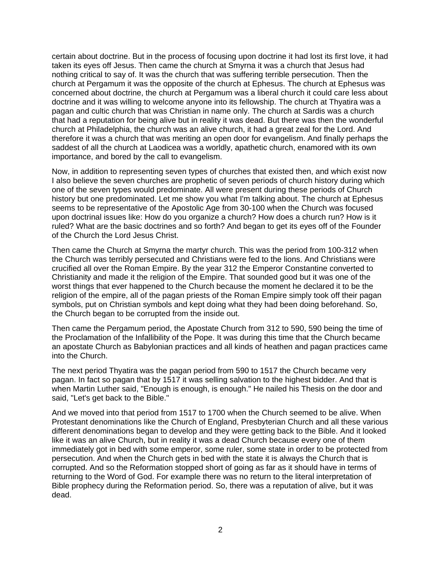certain about doctrine. But in the process of focusing upon doctrine it had lost its first love, it had taken its eyes off Jesus. Then came the church at Smyrna it was a church that Jesus had nothing critical to say of. It was the church that was suffering terrible persecution. Then the church at Pergamum it was the opposite of the church at Ephesus. The church at Ephesus was concerned about doctrine, the church at Pergamum was a liberal church it could care less about doctrine and it was willing to welcome anyone into its fellowship. The church at Thyatira was a pagan and cultic church that was Christian in name only. The church at Sardis was a church that had a reputation for being alive but in reality it was dead. But there was then the wonderful church at Philadelphia, the church was an alive church, it had a great zeal for the Lord. And therefore it was a church that was meriting an open door for evangelism. And finally perhaps the saddest of all the church at Laodicea was a worldly, apathetic church, enamored with its own importance, and bored by the call to evangelism.

Now, in addition to representing seven types of churches that existed then, and which exist now I also believe the seven churches are prophetic of seven periods of church history during which one of the seven types would predominate. All were present during these periods of Church history but one predominated. Let me show you what I'm talking about. The church at Ephesus seems to be representative of the Apostolic Age from 30-100 when the Church was focused upon doctrinal issues like: How do you organize a church? How does a church run? How is it ruled? What are the basic doctrines and so forth? And began to get its eyes off of the Founder of the Church the Lord Jesus Christ.

Then came the Church at Smyrna the martyr church. This was the period from 100-312 when the Church was terribly persecuted and Christians were fed to the lions. And Christians were crucified all over the Roman Empire. By the year 312 the Emperor Constantine converted to Christianity and made it the religion of the Empire. That sounded good but it was one of the worst things that ever happened to the Church because the moment he declared it to be the religion of the empire, all of the pagan priests of the Roman Empire simply took off their pagan symbols, put on Christian symbols and kept doing what they had been doing beforehand. So, the Church began to be corrupted from the inside out.

Then came the Pergamum period, the Apostate Church from 312 to 590, 590 being the time of the Proclamation of the Infallibility of the Pope. It was during this time that the Church became an apostate Church as Babylonian practices and all kinds of heathen and pagan practices came into the Church.

The next period Thyatira was the pagan period from 590 to 1517 the Church became very pagan. In fact so pagan that by 1517 it was selling salvation to the highest bidder. And that is when Martin Luther said, "Enough is enough, is enough." He nailed his Thesis on the door and said, "Let's get back to the Bible."

And we moved into that period from 1517 to 1700 when the Church seemed to be alive. When Protestant denominations like the Church of England, Presbyterian Church and all these various different denominations began to develop and they were getting back to the Bible. And it looked like it was an alive Church, but in reality it was a dead Church because every one of them immediately got in bed with some emperor, some ruler, some state in order to be protected from persecution. And when the Church gets in bed with the state it is always the Church that is corrupted. And so the Reformation stopped short of going as far as it should have in terms of returning to the Word of God. For example there was no return to the literal interpretation of Bible prophecy during the Reformation period. So, there was a reputation of alive, but it was dead.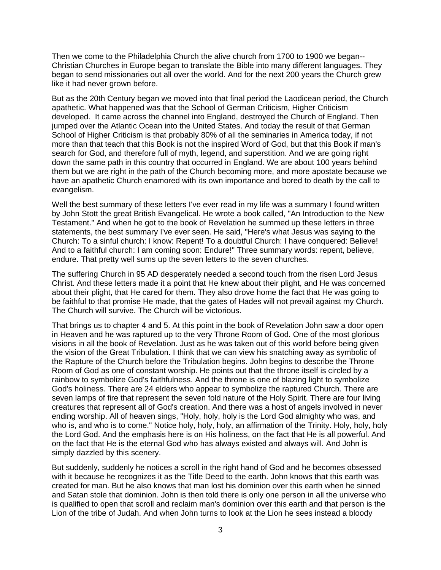Then we come to the Philadelphia Church the alive church from 1700 to 1900 we began-- Christian Churches in Europe began to translate the Bible into many different languages. They began to send missionaries out all over the world. And for the next 200 years the Church grew like it had never grown before.

But as the 20th Century began we moved into that final period the Laodicean period, the Church apathetic. What happened was that the School of German Criticism, Higher Criticism developed. It came across the channel into England, destroyed the Church of England. Then jumped over the Atlantic Ocean into the United States. And today the result of that German School of Higher Criticism is that probably 80% of all the seminaries in America today, if not more than that teach that this Book is not the inspired Word of God, but that this Book if man's search for God, and therefore full of myth, legend, and superstition. And we are going right down the same path in this country that occurred in England. We are about 100 years behind them but we are right in the path of the Church becoming more, and more apostate because we have an apathetic Church enamored with its own importance and bored to death by the call to evangelism.

Well the best summary of these letters I've ever read in my life was a summary I found written by John Stott the great British Evangelical. He wrote a book called, "An Introduction to the New Testament." And when he got to the book of Revelation he summed up these letters in three statements, the best summary I've ever seen. He said, "Here's what Jesus was saying to the Church: To a sinful church: I know: Repent! To a doubtful Church: I have conquered: Believe! And to a faithful church: I am coming soon: Endure!" Three summary words: repent, believe, endure. That pretty well sums up the seven letters to the seven churches.

The suffering Church in 95 AD desperately needed a second touch from the risen Lord Jesus Christ. And these letters made it a point that He knew about their plight, and He was concerned about their plight, that He cared for them. They also drove home the fact that He was going to be faithful to that promise He made, that the gates of Hades will not prevail against my Church. The Church will survive. The Church will be victorious.

That brings us to chapter 4 and 5. At this point in the book of Revelation John saw a door open in Heaven and he was raptured up to the very Throne Room of God. One of the most glorious visions in all the book of Revelation. Just as he was taken out of this world before being given the vision of the Great Tribulation. I think that we can view his snatching away as symbolic of the Rapture of the Church before the Tribulation begins. John begins to describe the Throne Room of God as one of constant worship. He points out that the throne itself is circled by a rainbow to symbolize God's faithfulness. And the throne is one of blazing light to symbolize God's holiness. There are 24 elders who appear to symbolize the raptured Church. There are seven lamps of fire that represent the seven fold nature of the Holy Spirit. There are four living creatures that represent all of God's creation. And there was a host of angels involved in never ending worship. All of heaven sings, "Holy, holy, holy is the Lord God almighty who was, and who is, and who is to come." Notice holy, holy, holy, an affirmation of the Trinity. Holy, holy, holy the Lord God. And the emphasis here is on His holiness, on the fact that He is all powerful. And on the fact that He is the eternal God who has always existed and always will. And John is simply dazzled by this scenery.

But suddenly, suddenly he notices a scroll in the right hand of God and he becomes obsessed with it because he recognizes it as the Title Deed to the earth. John knows that this earth was created for man. But he also knows that man lost his dominion over this earth when he sinned and Satan stole that dominion. John is then told there is only one person in all the universe who is qualified to open that scroll and reclaim man's dominion over this earth and that person is the Lion of the tribe of Judah. And when John turns to look at the Lion he sees instead a bloody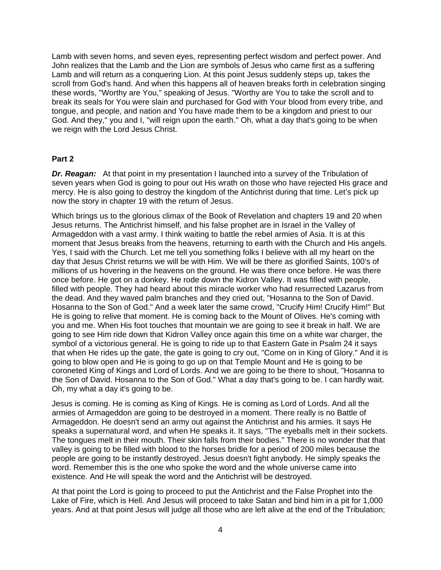Lamb with seven horns, and seven eyes, representing perfect wisdom and perfect power. And John realizes that the Lamb and the Lion are symbols of Jesus who came first as a suffering Lamb and will return as a conquering Lion. At this point Jesus suddenly steps up, takes the scroll from God's hand. And when this happens all of heaven breaks forth in celebration singing these words, "Worthy are You," speaking of Jesus. "Worthy are You to take the scroll and to break its seals for You were slain and purchased for God with Your blood from every tribe, and tongue, and people, and nation and You have made them to be a kingdom and priest to our God. And they," you and I, "will reign upon the earth." Oh, what a day that's going to be when we reign with the Lord Jesus Christ.

#### **Part 2**

**Dr. Reagan:** At that point in my presentation I launched into a survey of the Tribulation of seven years when God is going to pour out His wrath on those who have rejected His grace and mercy. He is also going to destroy the kingdom of the Antichrist during that time. Let's pick up now the story in chapter 19 with the return of Jesus.

Which brings us to the glorious climax of the Book of Revelation and chapters 19 and 20 when Jesus returns. The Antichrist himself, and his false prophet are in Israel in the Valley of Armageddon with a vast army. I think waiting to battle the rebel armies of Asia. It is at this moment that Jesus breaks from the heavens, returning to earth with the Church and His angels. Yes, I said with the Church. Let me tell you something folks I believe with all my heart on the day that Jesus Christ returns we will be with Him. We will be there as glorified Saints, 100's of millions of us hovering in the heavens on the ground. He was there once before. He was there once before. He got on a donkey. He rode down the Kidron Valley. It was filled with people, filled with people. They had heard about this miracle worker who had resurrected Lazarus from the dead. And they waved palm branches and they cried out, "Hosanna to the Son of David. Hosanna to the Son of God." And a week later the same crowd, "Crucify Him! Crucify Him!" But He is going to relive that moment. He is coming back to the Mount of Olives. He's coming with you and me. When His foot touches that mountain we are going to see it break in half. We are going to see Him ride down that Kidron Valley once again this time on a white war charger, the symbol of a victorious general. He is going to ride up to that Eastern Gate in Psalm 24 it says that when He rides up the gate, the gate is going to cry out, "Come on in King of Glory." And it is going to blow open and He is going to go up on that Temple Mount and He is going to be coroneted King of Kings and Lord of Lords. And we are going to be there to shout, "Hosanna to the Son of David. Hosanna to the Son of God." What a day that's going to be. I can hardly wait. Oh, my what a day it's going to be.

Jesus is coming. He is coming as King of Kings. He is coming as Lord of Lords. And all the armies of Armageddon are going to be destroyed in a moment. There really is no Battle of Armageddon. He doesn't send an army out against the Antichrist and his armies. It says He speaks a supernatural word, and when He speaks it. It says, "The eyeballs melt in their sockets. The tongues melt in their mouth. Their skin falls from their bodies." There is no wonder that that valley is going to be filled with blood to the horses bridle for a period of 200 miles because the people are going to be instantly destroyed. Jesus doesn't fight anybody. He simply speaks the word. Remember this is the one who spoke the word and the whole universe came into existence. And He will speak the word and the Antichrist will be destroyed.

At that point the Lord is going to proceed to put the Antichrist and the False Prophet into the Lake of Fire, which is Hell. And Jesus will proceed to take Satan and bind him in a pit for 1,000 years. And at that point Jesus will judge all those who are left alive at the end of the Tribulation;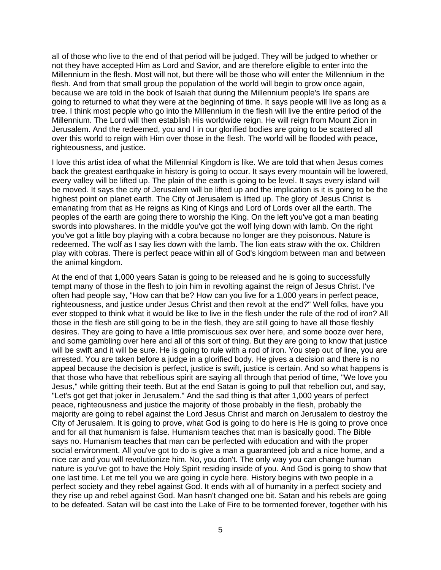all of those who live to the end of that period will be judged. They will be judged to whether or not they have accepted Him as Lord and Savior, and are therefore eligible to enter into the Millennium in the flesh. Most will not, but there will be those who will enter the Millennium in the flesh. And from that small group the population of the world will begin to grow once again, because we are told in the book of Isaiah that during the Millennium people's life spans are going to returned to what they were at the beginning of time. It says people will live as long as a tree. I think most people who go into the Millennium in the flesh will live the entire period of the Millennium. The Lord will then establish His worldwide reign. He will reign from Mount Zion in Jerusalem. And the redeemed, you and I in our glorified bodies are going to be scattered all over this world to reign with Him over those in the flesh. The world will be flooded with peace, righteousness, and justice.

I love this artist idea of what the Millennial Kingdom is like. We are told that when Jesus comes back the greatest earthquake in history is going to occur. It says every mountain will be lowered, every valley will be lifted up. The plain of the earth is going to be level. It says every island will be moved. It says the city of Jerusalem will be lifted up and the implication is it is going to be the highest point on planet earth. The City of Jerusalem is lifted up. The glory of Jesus Christ is emanating from that as He reigns as King of Kings and Lord of Lords over all the earth. The peoples of the earth are going there to worship the King. On the left you've got a man beating swords into plowshares. In the middle you've got the wolf lying down with lamb. On the right you've got a little boy playing with a cobra because no longer are they poisonous. Nature is redeemed. The wolf as I say lies down with the lamb. The lion eats straw with the ox. Children play with cobras. There is perfect peace within all of God's kingdom between man and between the animal kingdom.

At the end of that 1,000 years Satan is going to be released and he is going to successfully tempt many of those in the flesh to join him in revolting against the reign of Jesus Christ. I've often had people say, "How can that be? How can you live for a 1,000 years in perfect peace, righteousness, and justice under Jesus Christ and then revolt at the end?" Well folks, have you ever stopped to think what it would be like to live in the flesh under the rule of the rod of iron? All those in the flesh are still going to be in the flesh, they are still going to have all those fleshly desires. They are going to have a little promiscuous sex over here, and some booze over here, and some gambling over here and all of this sort of thing. But they are going to know that justice will be swift and it will be sure. He is going to rule with a rod of iron. You step out of line, you are arrested. You are taken before a judge in a glorified body. He gives a decision and there is no appeal because the decision is perfect, justice is swift, justice is certain. And so what happens is that those who have that rebellious spirit are saying all through that period of time, "We love you Jesus," while gritting their teeth. But at the end Satan is going to pull that rebellion out, and say, "Let's got get that joker in Jerusalem." And the sad thing is that after 1,000 years of perfect peace, righteousness and justice the majority of those probably in the flesh, probably the majority are going to rebel against the Lord Jesus Christ and march on Jerusalem to destroy the City of Jerusalem. It is going to prove, what God is going to do here is He is going to prove once and for all that humanism is false. Humanism teaches that man is basically good. The Bible says no. Humanism teaches that man can be perfected with education and with the proper social environment. All you've got to do is give a man a guaranteed job and a nice home, and a nice car and you will revolutionize him. No, you don't. The only way you can change human nature is you've got to have the Holy Spirit residing inside of you. And God is going to show that one last time. Let me tell you we are going in cycle here. History begins with two people in a perfect society and they rebel against God. It ends with all of humanity in a perfect society and they rise up and rebel against God. Man hasn't changed one bit. Satan and his rebels are going to be defeated. Satan will be cast into the Lake of Fire to be tormented forever, together with his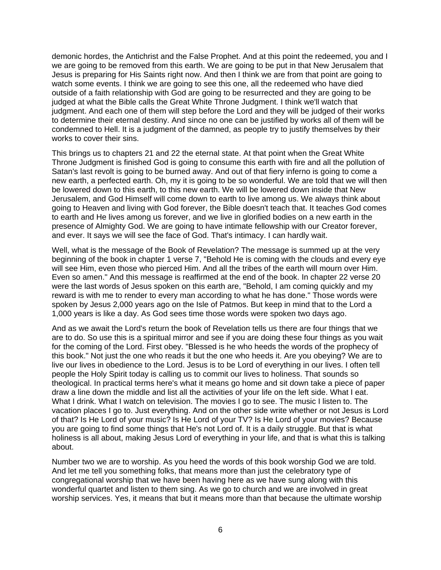demonic hordes, the Antichrist and the False Prophet. And at this point the redeemed, you and I we are going to be removed from this earth. We are going to be put in that New Jerusalem that Jesus is preparing for His Saints right now. And then I think we are from that point are going to watch some events. I think we are going to see this one, all the redeemed who have died outside of a faith relationship with God are going to be resurrected and they are going to be judged at what the Bible calls the Great White Throne Judgment. I think we'll watch that judgment. And each one of them will step before the Lord and they will be judged of their works to determine their eternal destiny. And since no one can be justified by works all of them will be condemned to Hell. It is a judgment of the damned, as people try to justify themselves by their works to cover their sins.

This brings us to chapters 21 and 22 the eternal state. At that point when the Great White Throne Judgment is finished God is going to consume this earth with fire and all the pollution of Satan's last revolt is going to be burned away. And out of that fiery inferno is going to come a new earth, a perfected earth. Oh, my it is going to be so wonderful. We are told that we will then be lowered down to this earth, to this new earth. We will be lowered down inside that New Jerusalem, and God Himself will come down to earth to live among us. We always think about going to Heaven and living with God forever, the Bible doesn't teach that. It teaches God comes to earth and He lives among us forever, and we live in glorified bodies on a new earth in the presence of Almighty God. We are going to have intimate fellowship with our Creator forever, and ever. It says we will see the face of God. That's intimacy. I can hardly wait.

Well, what is the message of the Book of Revelation? The message is summed up at the very beginning of the book in chapter 1 verse 7, "Behold He is coming with the clouds and every eye will see Him, even those who pierced Him. And all the tribes of the earth will mourn over Him. Even so amen." And this message is reaffirmed at the end of the book. In chapter 22 verse 20 were the last words of Jesus spoken on this earth are, "Behold, I am coming quickly and my reward is with me to render to every man according to what he has done." Those words were spoken by Jesus 2,000 years ago on the Isle of Patmos. But keep in mind that to the Lord a 1,000 years is like a day. As God sees time those words were spoken two days ago.

And as we await the Lord's return the book of Revelation tells us there are four things that we are to do. So use this is a spiritual mirror and see if you are doing these four things as you wait for the coming of the Lord. First obey. "Blessed is he who heeds the words of the prophecy of this book." Not just the one who reads it but the one who heeds it. Are you obeying? We are to live our lives in obedience to the Lord. Jesus is to be Lord of everything in our lives. I often tell people the Holy Spirit today is calling us to commit our lives to holiness. That sounds so theological. In practical terms here's what it means go home and sit down take a piece of paper draw a line down the middle and list all the activities of your life on the left side. What I eat. What I drink. What I watch on television. The movies I go to see. The music I listen to. The vacation places I go to. Just everything. And on the other side write whether or not Jesus is Lord of that? Is He Lord of your music? Is He Lord of your TV? Is He Lord of your movies? Because you are going to find some things that He's not Lord of. It is a daily struggle. But that is what holiness is all about, making Jesus Lord of everything in your life, and that is what this is talking about.

Number two we are to worship. As you heed the words of this book worship God we are told. And let me tell you something folks, that means more than just the celebratory type of congregational worship that we have been having here as we have sung along with this wonderful quartet and listen to them sing. As we go to church and we are involved in great worship services. Yes, it means that but it means more than that because the ultimate worship